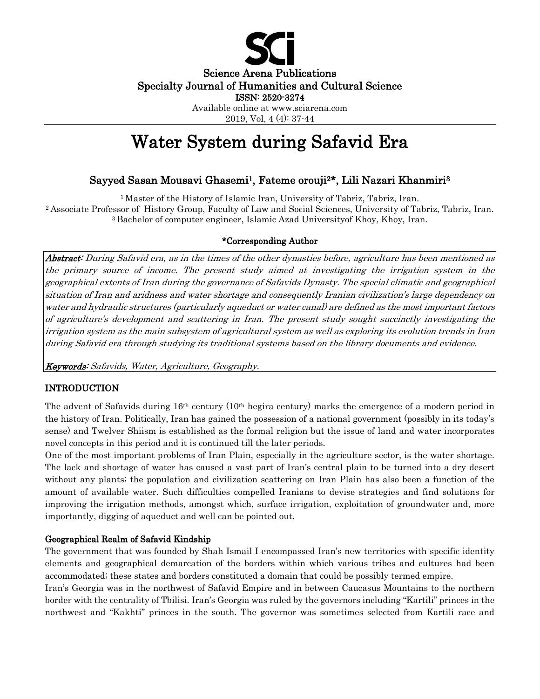

Science Arena Publications Specialty Journal of Humanities and Cultural Science ISSN: 2520-3274

> Available online at www.sciarena.com 2019, Vol, 4 (4): 37-44

# Water System during Safavid Era

# Sayyed Sasan Mousavi Ghasemi1, Fateme orouji2\*, Lili Nazari Khanmiri<sup>3</sup>

<sup>1</sup> Master of the History of Islamic Iran, University of Tabriz, Tabriz, Iran. <sup>2</sup>Associate Professor of History Group, Faculty of Law and Social Sciences, University of Tabriz, Tabriz, Iran. <sup>3</sup>Bachelor of computer engineer, Islamic Azad Universityof Khoy, Khoy, Iran.

# \*Corresponding Author

Abstract: During Safavid era, as in the times of the other dynasties before, agriculture has been mentioned as the primary source of income. The present study aimed at investigating the irrigation system in the geographical extents of Iran during the governance of Safavids Dynasty. The special climatic and geographical situation of Iran and aridness and water shortage and consequently Iranian civilization's large dependency on water and hydraulic structures (particularly aqueduct or water canal) are defined as the most important factors of agriculture's development and scattering in Iran. The present study sought succinctly investigating the irrigation system as the main subsystem of agricultural system as well as exploring its evolution trends in Iran during Safavid era through studying its traditional systems based on the library documents and evidence.

Keywords: Safavids, Water, Agriculture, Geography.

# INTRODUCTION

The advent of Safavids during 16th century (10th hegira century) marks the emergence of a modern period in the history of Iran. Politically, Iran has gained the possession of a national government (possibly in its today's sense) and Twelver Shiism is established as the formal religion but the issue of land and water incorporates novel concepts in this period and it is continued till the later periods.

One of the most important problems of Iran Plain, especially in the agriculture sector, is the water shortage. The lack and shortage of water has caused a vast part of Iran's central plain to be turned into a dry desert without any plants; the population and civilization scattering on Iran Plain has also been a function of the amount of available water. Such difficulties compelled Iranians to devise strategies and find solutions for improving the irrigation methods, amongst which, surface irrigation, exploitation of groundwater and, more importantly, digging of aqueduct and well can be pointed out.

# Geographical Realm of Safavid Kindship

The government that was founded by Shah Ismail I encompassed Iran's new territories with specific identity elements and geographical demarcation of the borders within which various tribes and cultures had been accommodated; these states and borders constituted a domain that could be possibly termed empire.

Iran's Georgia was in the northwest of Safavid Empire and in between Caucasus Mountains to the northern border with the centrality of Tbilisi. Iran's Georgia was ruled by the governors including "Kartili" princes in the northwest and "Kakhti" princes in the south. The governor was sometimes selected from Kartili race and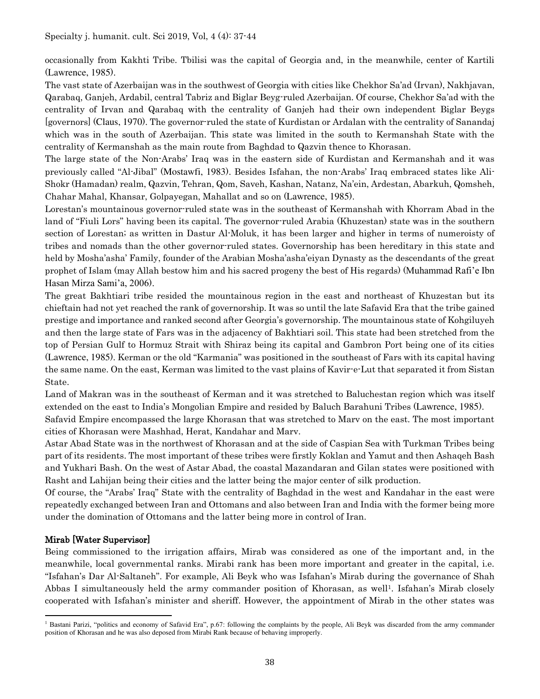occasionally from Kakhti Tribe. Tbilisi was the capital of Georgia and, in the meanwhile, center of Kartili (Lawrence, 1985).

The vast state of Azerbaijan was in the southwest of Georgia with cities like Chekhor Sa'ad (Irvan), Nakhjavan, Qarabaq, Ganjeh, Ardabil, central Tabriz and Biglar Beyg-ruled Azerbaijan. Of course, Chekhor Sa'ad with the centrality of Irvan and Qarabaq with the centrality of Ganjeh had their own independent Biglar Beygs [governors] (Claus, 1970). The governor-ruled the state of Kurdistan or Ardalan with the centrality of Sanandaj which was in the south of Azerbaijan. This state was limited in the south to Kermanshah State with the centrality of Kermanshah as the main route from Baghdad to Qazvin thence to Khorasan.

The large state of the Non-Arabs' Iraq was in the eastern side of Kurdistan and Kermanshah and it was previously called "Al-Jibal" (Mostawfi, 1983). Besides Isfahan, the non-Arabs' Iraq embraced states like Ali-Shokr (Hamadan) realm, Qazvin, Tehran, Qom, Saveh, Kashan, Natanz, Na'ein, Ardestan, Abarkuh, Qomsheh, Chahar Mahal, Khansar, Golpayegan, Mahallat and so on (Lawrence, 1985).

Lorestan's mountainous governor-ruled state was in the southeast of Kermanshah with Khorram Abad in the land of "Fiuli Lors" having been its capital. The governor-ruled Arabia (Khuzestan) state was in the southern section of Lorestan; as written in Dastur Al-Moluk, it has been larger and higher in terms of numeroisty of tribes and nomads than the other governor-ruled states. Governorship has been hereditary in this state and held by Mosha'asha' Family, founder of the Arabian Mosha'asha'eiyan Dynasty as the descendants of the great prophet of Islam (may Allah bestow him and his sacred progeny the best of His regards) (Muhammad Rafi'e Ibn Hasan Mirza Sami'a, 2006).

The great Bakhtiari tribe resided the mountainous region in the east and northeast of Khuzestan but its chieftain had not yet reached the rank of governorship. It was so until the late Safavid Era that the tribe gained prestige and importance and ranked second after Georgia's governorship. The mountainous state of Kohgiluyeh and then the large state of Fars was in the adjacency of Bakhtiari soil. This state had been stretched from the top of Persian Gulf to Hormuz Strait with Shiraz being its capital and Gambron Port being one of its cities (Lawrence, 1985). Kerman or the old "Karmania" was positioned in the southeast of Fars with its capital having the same name. On the east, Kerman was limited to the vast plains of Kavir-e-Lut that separated it from Sistan State.

Land of Makran was in the southeast of Kerman and it was stretched to Baluchestan region which was itself extended on the east to India's Mongolian Empire and resided by Baluch Barahuni Tribes (Lawrence, 1985).

Safavid Empire encompassed the large Khorasan that was stretched to Marv on the east. The most important cities of Khorasan were Mashhad, Herat, Kandahar and Marv.

Astar Abad State was in the northwest of Khorasan and at the side of Caspian Sea with Turkman Tribes being part of its residents. The most important of these tribes were firstly Koklan and Yamut and then Ashaqeh Bash and Yukhari Bash. On the west of Astar Abad, the coastal Mazandaran and Gilan states were positioned with Rasht and Lahijan being their cities and the latter being the major center of silk production.

Of course, the "Arabs' Iraq" State with the centrality of Baghdad in the west and Kandahar in the east were repeatedly exchanged between Iran and Ottomans and also between Iran and India with the former being more under the domination of Ottomans and the latter being more in control of Iran.

# Mirab [Water Supervisor]

Being commissioned to the irrigation affairs, Mirab was considered as one of the important and, in the meanwhile, local governmental ranks. Mirabi rank has been more important and greater in the capital, i.e. "Isfahan's Dar Al-Saltaneh". For example, Ali Beyk who was Isfahan's Mirab during the governance of Shah Abbas I simultaneously held the army commander position of Khorasan, as well<sup>1</sup>. Isfahan's Mirab closely cooperated with Isfahan's minister and sheriff. However, the appointment of Mirab in the other states was

<sup>&</sup>lt;sup>1</sup> Bastani Parizi, "politics and economy of Safavid Era", p.67: following the complaints by the people, Ali Beyk was discarded from the army commander position of Khorasan and he was also deposed from Mirabi Rank because of behaving improperly.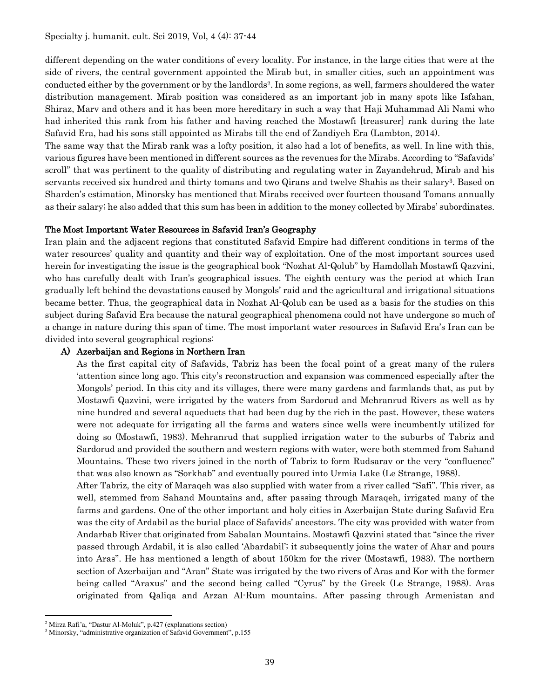different depending on the water conditions of every locality. For instance, in the large cities that were at the side of rivers, the central government appointed the Mirab but, in smaller cities, such an appointment was conducted either by the government or by the landlords<sup>2</sup>. In some regions, as well, farmers shouldered the water distribution management. Mirab position was considered as an important job in many spots like Isfahan, Shiraz, Marv and others and it has been more hereditary in such a way that Haji Muhammad Ali Nami who had inherited this rank from his father and having reached the Mostawfi [treasurer] rank during the late Safavid Era, had his sons still appointed as Mirabs till the end of Zandiyeh Era (Lambton, 2014).

The same way that the Mirab rank was a lofty position, it also had a lot of benefits, as well. In line with this, various figures have been mentioned in different sources as the revenues for the Mirabs. According to "Safavids' scroll" that was pertinent to the quality of distributing and regulating water in Zayandehrud, Mirab and his servants received six hundred and thirty tomans and two Qirans and twelve Shahis as their salary<sup>3</sup>. Based on Sharden's estimation, Minorsky has mentioned that Mirabs received over fourteen thousand Tomans annually as their salary; he also added that this sum has been in addition to the money collected by Mirabs' subordinates.

#### The Most Important Water Resources in Safavid Iran's Geography

Iran plain and the adjacent regions that constituted Safavid Empire had different conditions in terms of the water resources' quality and quantity and their way of exploitation. One of the most important sources used herein for investigating the issue is the geographical book "Nozhat Al-Qolub" by Hamdollah Mostawfi Qazvini, who has carefully dealt with Iran's geographical issues. The eighth century was the period at which Iran gradually left behind the devastations caused by Mongols' raid and the agricultural and irrigational situations became better. Thus, the geographical data in Nozhat Al-Qolub can be used as a basis for the studies on this subject during Safavid Era because the natural geographical phenomena could not have undergone so much of a change in nature during this span of time. The most important water resources in Safavid Era's Iran can be divided into several geographical regions:

#### A) Azerbaijan and Regions in Northern Iran

As the first capital city of Safavids, Tabriz has been the focal point of a great many of the rulers 'attention since long ago. This city's reconstruction and expansion was commenced especially after the Mongols' period. In this city and its villages, there were many gardens and farmlands that, as put by Mostawfi Qazvini, were irrigated by the waters from Sardorud and Mehranrud Rivers as well as by nine hundred and several aqueducts that had been dug by the rich in the past. However, these waters were not adequate for irrigating all the farms and waters since wells were incumbently utilized for doing so (Mostawfi, 1983). Mehranrud that supplied irrigation water to the suburbs of Tabriz and Sardorud and provided the southern and western regions with water, were both stemmed from Sahand Mountains. These two rivers joined in the north of Tabriz to form Rudsarav or the very "confluence" that was also known as "Sorkhab" and eventually poured into Urmia Lake (Le Strange, 1988).

After Tabriz, the city of Maraqeh was also supplied with water from a river called "Safi". This river, as well, stemmed from Sahand Mountains and, after passing through Maraqeh, irrigated many of the farms and gardens. One of the other important and holy cities in Azerbaijan State during Safavid Era was the city of Ardabil as the burial place of Safavids' ancestors. The city was provided with water from Andarbab River that originated from Sabalan Mountains. Mostawfi Qazvini stated that "since the river passed through Ardabil, it is also called 'Abardabil'; it subsequently joins the water of Ahar and pours into Aras". He has mentioned a length of about 150km for the river (Mostawfi, 1983). The northern section of Azerbaijan and "Aran" State was irrigated by the two rivers of Aras and Kor with the former being called "Araxus" and the second being called "Cyrus" by the Greek (Le Strange, 1988). Aras originated from Qaliqa and Arzan Al-Rum mountains. After passing through Armenistan and

<sup>2</sup> Mirza Rafi'a, "Dastur Al-Moluk", p.427 (explanations section)

<sup>&</sup>lt;sup>3</sup> Minorsky, "administrative organization of Safavid Government", p.155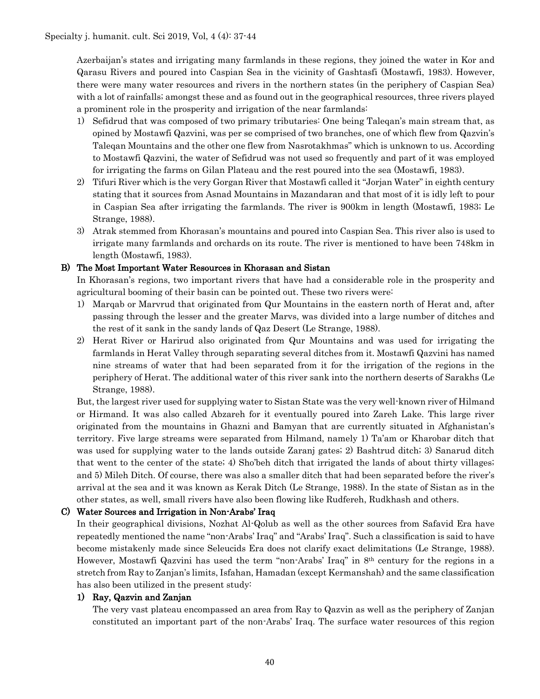Azerbaijan's states and irrigating many farmlands in these regions, they joined the water in Kor and Qarasu Rivers and poured into Caspian Sea in the vicinity of Gashtasfi (Mostawfi, 1983). However, there were many water resources and rivers in the northern states (in the periphery of Caspian Sea) with a lot of rainfalls; amongst these and as found out in the geographical resources, three rivers played a prominent role in the prosperity and irrigation of the near farmlands:

- 1) Sefidrud that was composed of two primary tributaries: One being Taleqan's main stream that, as opined by Mostawfi Qazvini, was per se comprised of two branches, one of which flew from Qazvin's Taleqan Mountains and the other one flew from Nasrotakhmas" which is unknown to us. According to Mostawfi Qazvini, the water of Sefidrud was not used so frequently and part of it was employed for irrigating the farms on Gilan Plateau and the rest poured into the sea (Mostawfi, 1983).
- 2) Tifuri River which is the very Gorgan River that Mostawfi called it "Jorjan Water" in eighth century stating that it sources from Asnad Mountains in Mazandaran and that most of it is idly left to pour in Caspian Sea after irrigating the farmlands. The river is 900km in length (Mostawfi, 1983; Le Strange, 1988).
- 3) Atrak stemmed from Khorasan's mountains and poured into Caspian Sea. This river also is used to irrigate many farmlands and orchards on its route. The river is mentioned to have been 748km in length (Mostawfi, 1983).

## B) The Most Important Water Resources in Khorasan and Sistan

In Khorasan's regions, two important rivers that have had a considerable role in the prosperity and agricultural booming of their basin can be pointed out. These two rivers were:

- 1) Marqab or Marvrud that originated from Qur Mountains in the eastern north of Herat and, after passing through the lesser and the greater Marvs, was divided into a large number of ditches and the rest of it sank in the sandy lands of Qaz Desert (Le Strange, 1988).
- 2) Herat River or Harirud also originated from Qur Mountains and was used for irrigating the farmlands in Herat Valley through separating several ditches from it. Mostawfi Qazvini has named nine streams of water that had been separated from it for the irrigation of the regions in the periphery of Herat. The additional water of this river sank into the northern deserts of Sarakhs (Le Strange, 1988).

But, the largest river used for supplying water to Sistan State was the very well-known river of Hilmand or Hirmand. It was also called Abzareh for it eventually poured into Zareh Lake. This large river originated from the mountains in Ghazni and Bamyan that are currently situated in Afghanistan's territory. Five large streams were separated from Hilmand, namely 1) Ta'am or Kharobar ditch that was used for supplying water to the lands outside Zaranj gates; 2) Bashtrud ditch; 3) Sanarud ditch that went to the center of the state; 4) Sho'beh ditch that irrigated the lands of about thirty villages; and 5) Mileh Ditch. Of course, there was also a smaller ditch that had been separated before the river's arrival at the sea and it was known as Kerak Ditch (Le Strange, 1988). In the state of Sistan as in the other states, as well, small rivers have also been flowing like Rudfereh, Rudkhash and others.

#### C) Water Sources and Irrigation in Non-Arabs' Iraq

In their geographical divisions, Nozhat Al-Qolub as well as the other sources from Safavid Era have repeatedly mentioned the name "non-Arabs' Iraq" and "Arabs' Iraq". Such a classification is said to have become mistakenly made since Seleucids Era does not clarify exact delimitations (Le Strange, 1988). However, Mostawfi Qazvini has used the term "non-Arabs' Iraq" in 8th century for the regions in a stretch from Ray to Zanjan's limits, Isfahan, Hamadan (except Kermanshah) and the same classification has also been utilized in the present study:

#### 1) Ray, Qazvin and Zanjan

The very vast plateau encompassed an area from Ray to Qazvin as well as the periphery of Zanjan constituted an important part of the non-Arabs' Iraq. The surface water resources of this region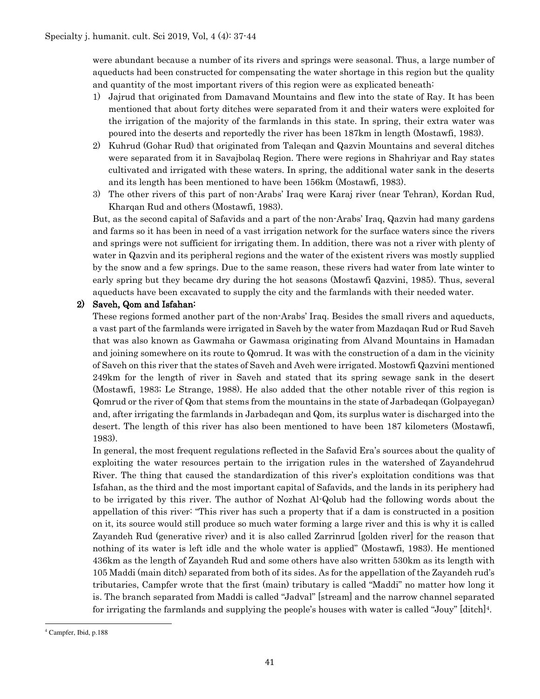were abundant because a number of its rivers and springs were seasonal. Thus, a large number of aqueducts had been constructed for compensating the water shortage in this region but the quality and quantity of the most important rivers of this region were as explicated beneath:

- 1) Jajrud that originated from Damavand Mountains and flew into the state of Ray. It has been mentioned that about forty ditches were separated from it and their waters were exploited for the irrigation of the majority of the farmlands in this state. In spring, their extra water was poured into the deserts and reportedly the river has been 187km in length (Mostawfi, 1983).
- 2) Kuhrud (Gohar Rud) that originated from Taleqan and Qazvin Mountains and several ditches were separated from it in Savajbolaq Region. There were regions in Shahriyar and Ray states cultivated and irrigated with these waters. In spring, the additional water sank in the deserts and its length has been mentioned to have been 156km (Mostawfi, 1983).
- 3) The other rivers of this part of non-Arabs' Iraq were Karaj river (near Tehran), Kordan Rud, Kharqan Rud and others (Mostawfi, 1983).

But, as the second capital of Safavids and a part of the non-Arabs' Iraq, Qazvin had many gardens and farms so it has been in need of a vast irrigation network for the surface waters since the rivers and springs were not sufficient for irrigating them. In addition, there was not a river with plenty of water in Qazvin and its peripheral regions and the water of the existent rivers was mostly supplied by the snow and a few springs. Due to the same reason, these rivers had water from late winter to early spring but they became dry during the hot seasons (Mostawfi Qazvini, 1985). Thus, several aqueducts have been excavated to supply the city and the farmlands with their needed water.

## 2) Saveh, Qom and Isfahan:

These regions formed another part of the non-Arabs' Iraq. Besides the small rivers and aqueducts, a vast part of the farmlands were irrigated in Saveh by the water from Mazdaqan Rud or Rud Saveh that was also known as Gawmaha or Gawmasa originating from Alvand Mountains in Hamadan and joining somewhere on its route to Qomrud. It was with the construction of a dam in the vicinity of Saveh on this river that the states of Saveh and Aveh were irrigated. Mostowfi Qazvini mentioned 249km for the length of river in Saveh and stated that its spring sewage sank in the desert (Mostawfi, 1983; Le Strange, 1988). He also added that the other notable river of this region is Qomrud or the river of Qom that stems from the mountains in the state of Jarbadeqan (Golpayegan) and, after irrigating the farmlands in Jarbadeqan and Qom, its surplus water is discharged into the desert. The length of this river has also been mentioned to have been 187 kilometers (Mostawfi, 1983).

In general, the most frequent regulations reflected in the Safavid Era's sources about the quality of exploiting the water resources pertain to the irrigation rules in the watershed of Zayandehrud River. The thing that caused the standardization of this river's exploitation conditions was that Isfahan, as the third and the most important capital of Safavids, and the lands in its periphery had to be irrigated by this river. The author of Nozhat Al-Qolub had the following words about the appellation of this river: "This river has such a property that if a dam is constructed in a position on it, its source would still produce so much water forming a large river and this is why it is called Zayandeh Rud (generative river) and it is also called Zarrinrud [golden river] for the reason that nothing of its water is left idle and the whole water is applied" (Mostawfi, 1983). He mentioned 436km as the length of Zayandeh Rud and some others have also written 530km as its length with 105 Maddi (main ditch) separated from both of its sides. As for the appellation of the Zayandeh rud's tributaries, Campfer wrote that the first (main) tributary is called "Maddi" no matter how long it is. The branch separated from Maddi is called "Jadval" [stream] and the narrow channel separated for irrigating the farmlands and supplying the people's houses with water is called "Jouy" [ditch]4.

<sup>4</sup> Campfer, Ibid, p.188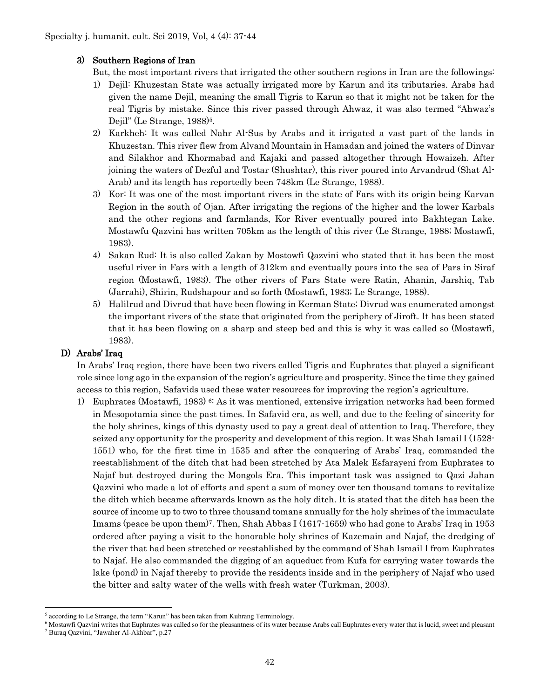## 3) Southern Regions of Iran

But, the most important rivers that irrigated the other southern regions in Iran are the followings:

- 1) Dejil: Khuzestan State was actually irrigated more by Karun and its tributaries. Arabs had given the name Dejil, meaning the small Tigris to Karun so that it might not be taken for the real Tigris by mistake. Since this river passed through Ahwaz, it was also termed "Ahwaz's Dejil" (Le Strange, 1988)<sup>5</sup>.
- 2) Karkheh: It was called Nahr Al-Sus by Arabs and it irrigated a vast part of the lands in Khuzestan. This river flew from Alvand Mountain in Hamadan and joined the waters of Dinvar and Silakhor and Khormabad and Kajaki and passed altogether through Howaizeh. After joining the waters of Dezful and Tostar (Shushtar), this river poured into Arvandrud (Shat Al-Arab) and its length has reportedly been 748km (Le Strange, 1988).
- 3) Kor: It was one of the most important rivers in the state of Fars with its origin being Karvan Region in the south of Ojan. After irrigating the regions of the higher and the lower Karbals and the other regions and farmlands, Kor River eventually poured into Bakhtegan Lake. Mostawfu Qazvini has written 705km as the length of this river (Le Strange, 1988; Mostawfi, 1983).
- 4) Sakan Rud: It is also called Zakan by Mostowfi Qazvini who stated that it has been the most useful river in Fars with a length of 312km and eventually pours into the sea of Pars in Siraf region (Mostawfi, 1983). The other rivers of Fars State were Ratin, Ahanin, Jarshiq, Tab (Jarrahi), Shirin, Rudshapour and so forth (Mostawfi, 1983; Le Strange, 1988).
- 5) Halilrud and Divrud that have been flowing in Kerman State; Divrud was enumerated amongst the important rivers of the state that originated from the periphery of Jiroft. It has been stated that it has been flowing on a sharp and steep bed and this is why it was called so (Mostawfi, 1983).

# D) Arabs' Iraq

In Arabs' Iraq region, there have been two rivers called Tigris and Euphrates that played a significant role since long ago in the expansion of the region's agriculture and prosperity. Since the time they gained access to this region, Safavids used these water resources for improving the region's agriculture.

1) Euphrates (Mostawfi, 1983)<sup>6:</sup> As it was mentioned, extensive irrigation networks had been formed in Mesopotamia since the past times. In Safavid era, as well, and due to the feeling of sincerity for the holy shrines, kings of this dynasty used to pay a great deal of attention to Iraq. Therefore, they seized any opportunity for the prosperity and development of this region. It was Shah Ismail I (1528- 1551) who, for the first time in 1535 and after the conquering of Arabs' Iraq, commanded the reestablishment of the ditch that had been stretched by Ata Malek Esfarayeni from Euphrates to Najaf but destroyed during the Mongols Era. This important task was assigned to Qazi Jahan Qazvini who made a lot of efforts and spent a sum of money over ten thousand tomans to revitalize the ditch which became afterwards known as the holy ditch. It is stated that the ditch has been the source of income up to two to three thousand tomans annually for the holy shrines of the immaculate Imams (peace be upon them)7. Then, Shah Abbas I (1617-1659) who had gone to Arabs' Iraq in 1953 ordered after paying a visit to the honorable holy shrines of Kazemain and Najaf, the dredging of the river that had been stretched or reestablished by the command of Shah Ismail I from Euphrates to Najaf. He also commanded the digging of an aqueduct from Kufa for carrying water towards the lake (pond) in Najaf thereby to provide the residents inside and in the periphery of Najaf who used the bitter and salty water of the wells with fresh water (Turkman, 2003).

<sup>5</sup> according to Le Strange, the term "Karun" has been taken from Kuhrang Terminology.

<sup>&</sup>lt;sup>6</sup> Mostawfi Qazvini writes that Euphrates was called so for the pleasantness of its water because Arabs call Euphrates every water that is lucid, sweet and pleasant <sup>7</sup> Buraq Qazvini, "Jawaher Al-Akhbar", p.27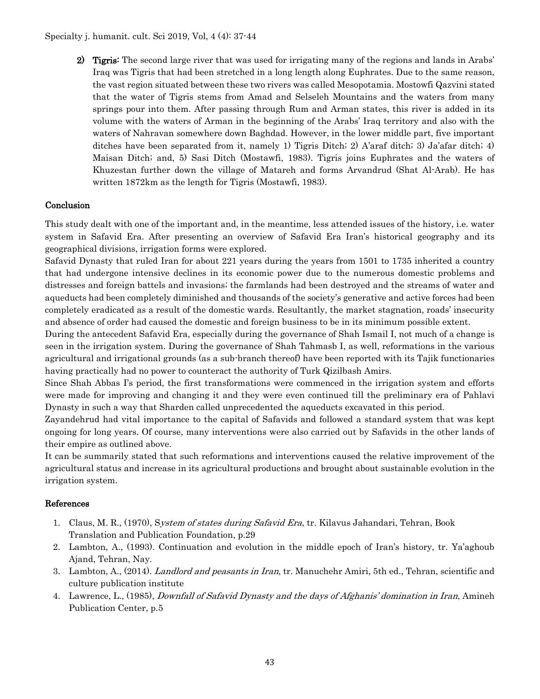2) Tigris: The second large river that was used for irrigating many of the regions and lands in Arabs' Iraq was Tigris that had been stretched in a long length along Euphrates. Due to the same reason, the vast region situated between these two rivers was called Mesopotamia. Mostowfi Qazvini stated that the water of Tigris stems from Amad and Selseleh Mountains and the waters from many springs pour into them. After passing through Rum and Arman states, this river is added in its volume with the waters of Arman in the beginning of the Arabs' Iraq territory and also with the waters of Nahravan somewhere down Baghdad. However, in the lower middle part, five important ditches have been separated from it, namely 1) Tigris Ditch; 2) A'araf ditch; 3) Ja'afar ditch; 4) Maisan Ditch; and, 5) Sasi Ditch (Mostawfi, 1983). Tigris joins Euphrates and the waters of Khuzestan further down the village of Matareh and forms Arvandrud (Shat Al-Arab). He has written 1872km as the length for Tigris (Mostawfi, 1983).

## Conclusion

This study dealt with one of the important and, in the meantime, less attended issues of the history, i.e. water system in Safavid Era. After presenting an overview of Safavid Era Iran's historical geography and its geographical divisions, irrigation forms were explored.

Safavid Dynasty that ruled Iran for about 221 years during the years from 1501 to 1735 inherited a country that had undergone intensive declines in its economic power due to the numerous domestic problems and distresses and foreign battels and invasions; the farmlands had been destroyed and the streams of water and aqueducts had been completely diminished and thousands of the society's generative and active forces had been completely eradicated as a result of the domestic wards. Resultantly, the market stagnation, roads' insecurity and absence of order had caused the domestic and foreign business to be in its minimum possible extent.

During the antecedent Safavid Era, especially during the governance of Shah Ismail I, not much of a change is seen in the irrigation system. During the governance of Shah Tahmasb I, as well, reformations in the various agricultural and irrigational grounds (as a sub-branch thereof) have been reported with its Tajik functionaries having practically had no power to counteract the authority of Turk Qizilbash Amirs.

Since Shah Abbas I's period, the first transformations were commenced in the irrigation system and efforts were made for improving and changing it and they were even continued till the preliminary era of Pahlavi Dynasty in such a way that Sharden called unprecedented the aqueducts excavated in this period.

Zayandehrud had vital importance to the capital of Safavids and followed a standard system that was kept ongoing for long years. Of course, many interventions were also carried out by Safavids in the other lands of their empire as outlined above.

It can be summarily stated that such reformations and interventions caused the relative improvement of the agricultural status and increase in its agricultural productions and brought about sustainable evolution in the irrigation system.

#### References

- 1. Claus, M. R., (1970), System of states during Safavid Era, tr. Kilavus Jahandari, Tehran, Book Translation and Publication Foundation, p.29
- 2. Lambton, A., (1993). Continuation and evolution in the middle epoch of Iran's history, tr. Ya'aghoub Ajand, Tehran, Nay.
- 3. Lambton, A., (2014). Landlord and peasants in Iran, tr. Manuchehr Amiri, 5th ed., Tehran, scientific and culture publication institute
- 4. Lawrence, L., (1985), Downfall of Safavid Dynasty and the days of Afghanis' domination in Iran, Amineh Publication Center, p.5